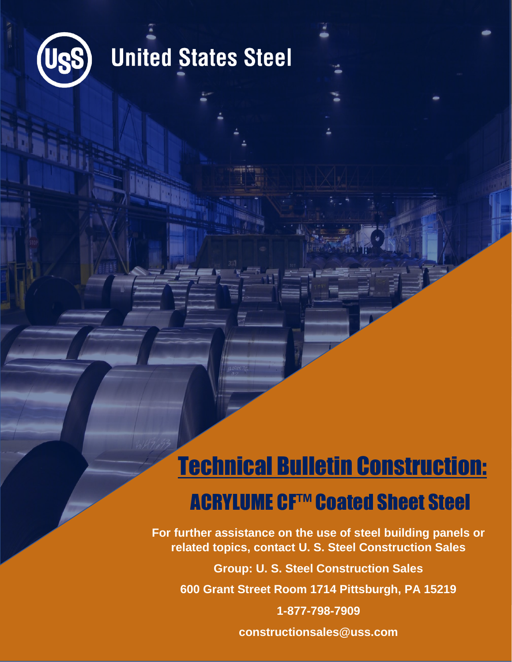

### **United States Steel**

# Technical Bulletin Construction:

#### ACRYLUME CF™ Coated Sheet Steel

**For further assistance on the use of steel building panels or related topics, contact U. S. Steel Construction Sales**

**Group: U. S. Steel Construction Sales**

**600 Grant Street Room 1714 Pittsburgh, PA 15219**

**1-877-798-7909**

**constructionsales@uss.com**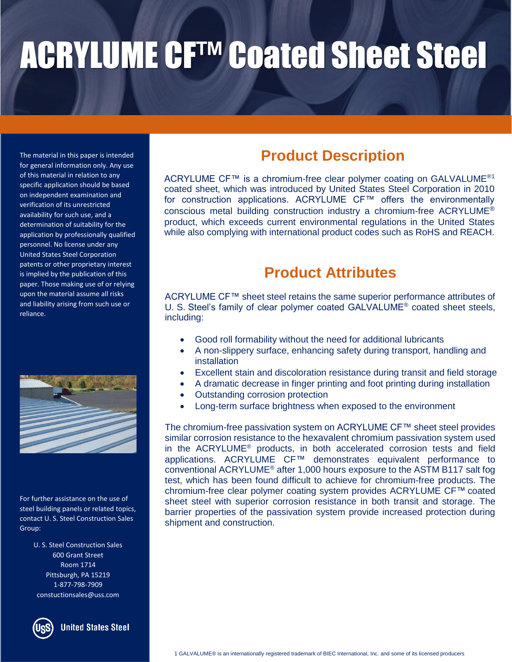## ACRYLUME CF™ Coated Sheet Steel

The material in this paper is intended for general information only. Any use of this material in relation to any specific application should be based on independent examination and verification of its unrestricted availability for such use, and a determination of suitability for the application by professionally qualified personnel. No license under any United States Steel Corporation patents or other proprietary interest is implied by the publication of this paper. Those making use of or relying upon the material assume all risks and liability arising from such use or reliance.



For further assistance on the use of steel building panels or related topics, contact U. S. Steel Construction Sales Group:

> U. S. Steel Construction Sales 600 Grant Street Room 1714 Pittsburgh, PA 15219 1-877-798-7909 constuctionsales@uss.com

**United States Steel** 

#### **Product Description**

ACRYLUME CF™ is a chromium-free clear polymer coating on GALVALUME®1 coated sheet, which was introduced by United States Steel Corporation in 2010 for construction applications. ACRYLUME CF™ offers the environmentally conscious metal building construction industry a chromium-free ACRYLUME® product, which exceeds current environmental regulations in the United States while also complying with international product codes such as RoHS and REACH.

#### **Product Attributes**

ACRYLUME CF™ sheet steel retains the same superior performance attributes of U. S. Steel's family of clear polymer coated GALVALUME® coated sheet steels, including:

- Good roll formability without the need for additional lubricants
- A non-slippery surface, enhancing safety during transport, handling and installation
- Excellent stain and discoloration resistance during transit and field storage
- A dramatic decrease in finger printing and foot printing during installation
- Outstanding corrosion protection
- Long-term surface brightness when exposed to the environment

The chromium-free passivation system on ACRYLUME CF™ sheet steel provides similar corrosion resistance to the hexavalent chromium passivation system used in the ACRYLUME® products, in both accelerated corrosion tests and field applications. ACRYLUME CF™ demonstrates equivalent performance to conventional ACRYLUME® after 1,000 hours exposure to the ASTM B117 salt fog test, which has been found difficult to achieve for chromium-free products. The chromium-free clear polymer coating system provides ACRYLUME CF™ coated sheet steel with superior corrosion resistance in both transit and storage. The barrier properties of the passivation system provide increased protection during shipment and construction.